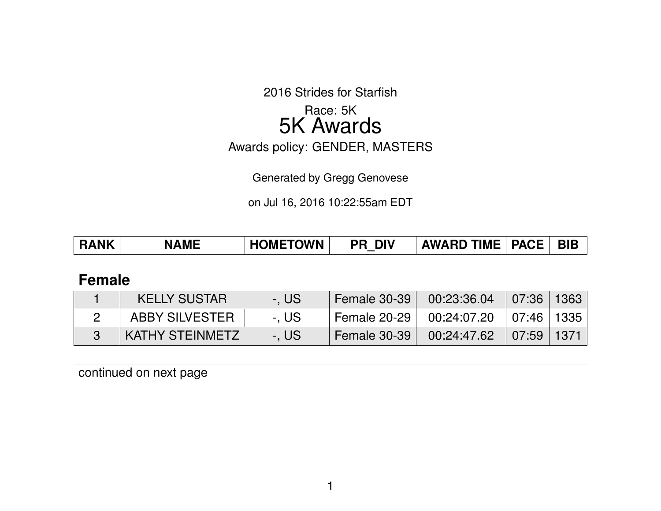2016 Strides for Starfish

# Race: 5K 5K Awards

Awards policy: GENDER, MASTERS

Generated by Gregg Genovese

on Jul 16, 2016 10:22:55am EDT

|  | <b>RANK</b> | <b>NAME</b> | <b>HOMETOWN</b> | <b>PR DIV</b> | <b>AWARD TIME   PACE  </b> |  | <b>BIB</b> |
|--|-------------|-------------|-----------------|---------------|----------------------------|--|------------|
|--|-------------|-------------|-----------------|---------------|----------------------------|--|------------|

## **Female**

| <b>KELLY SUSTAR</b> | -. US | Female 30-39              | $00:23:36.04$   07:36   1363 |  |
|---------------------|-------|---------------------------|------------------------------|--|
| ABBY SILVESTER      | -. US | <sup>1</sup> Female 20-29 | 00:24:07.20 ∣07:46 ∣1335 ∣   |  |
| KATHY STEINMETZ     | -. US | Semale 30-39 N            | $00:24:47.62$ 07:59 1371     |  |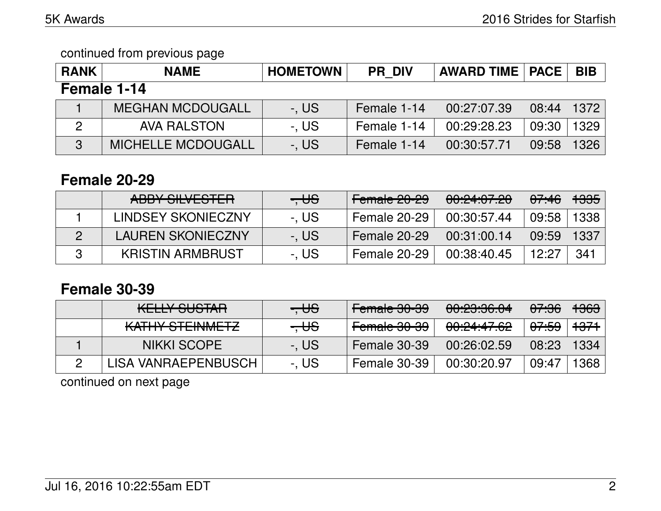| <b>RANK</b> | <b>NAME</b>               | <b>HOMETOWN</b> | <b>PR DIV</b> | <b>AWARD TIME   PACE</b> |       | <b>BIB</b> |  |  |
|-------------|---------------------------|-----------------|---------------|--------------------------|-------|------------|--|--|
| Female 1-14 |                           |                 |               |                          |       |            |  |  |
|             | <b>MEGHAN MCDOUGALL</b>   | -, US           | Female 1-14   | 00:27:07.39              | 08:44 | 1372       |  |  |
| 2           | <b>AVA RALSTON</b>        | -. US           | Female 1-14   | 00:29:28.23              | 09:30 | 1329       |  |  |
| 3           | <b>MICHELLE MCDOUGALL</b> | -, US           | Female 1-14   | 00:30:57.71              | 09:58 | 1326       |  |  |

#### **Female 20-29**

| ADDV CILVECTED<br>ADDT JILVLJTLIT | $-$ US | Female 20-29 | <u>AA.A 1.A7 AA</u><br><u> 00.24.07.20</u> | 07:46 | <del>1335</del> |
|-----------------------------------|--------|--------------|--------------------------------------------|-------|-----------------|
| LINDSEY SKONIECZNY                | -. US  | Female 20-29 | 00:30:57.44                                | 09:58 | 1338            |
| <b>LAUREN SKONIECZNY</b>          | -. US  | Female 20-29 | 00:31:00.14                                | 09:59 | 1337            |
| <b>KRISTIN ARMBRUST</b>           | -. US  | Female 20-29 | 00:38:40.45                                | 12.27 | 341             |

# **Female 30-39**

| <u>IZELI IV OLIOTAD.</u><br>ITLELI OUUTATI           | <del>. US</del> | <u>مم مم ملمومی </u><br><del>Fomald 00-00</del> | <u> AA.QQ.QC AA</u><br><del>00.20.00.04</del> | <del>07:36</del> | <del>1363</del> |
|------------------------------------------------------|-----------------|-------------------------------------------------|-----------------------------------------------|------------------|-----------------|
| <u>IZATI INZOTETA IMAETZI</u><br>IVALLIT OTERVIVIETZ | $- \theta$      | مصمصه ملموم<br>T <del>uniqid ov-oo</del>        | <u>00.04.47.00</u><br><del>OU.ZT.TT.UZ</del>  | <del>07:59</del> | <del>1371</del> |
| <b>NIKKI SCOPE</b>                                   | -. US           | Female 30-39                                    | 00:26:02.59                                   | 08:23            | 1334            |
| LISA VANRAEPENBUSCH                                  | -. US           | Female 30-39                                    | 00:30:20.97                                   | 09:47            | 1368            |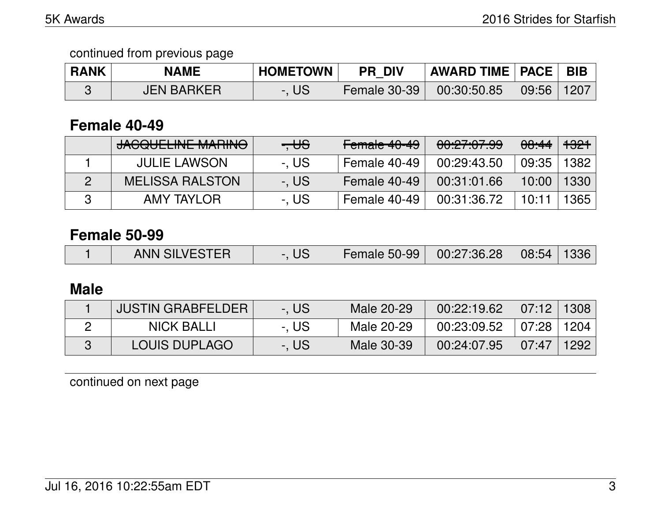| <b>RANK</b> | <b>NAME</b>       | <b>HOMETOWN</b> | <b>PR DIV</b>  | <b>AWARD TIME   PACE  </b> |       | ' BIB |
|-------------|-------------------|-----------------|----------------|----------------------------|-------|-------|
|             | <b>JEN BARKER</b> | -. US           | Female 30-39 N | 100:30:50.85               | 09:56 | 1207  |

# **Female 40-49**

| <b>JACQUELINE MARINO</b> | $- \theta$ | Female 40-49        | 00:27:07.99 | <del>08:44</del> | <del>1321</del> |
|--------------------------|------------|---------------------|-------------|------------------|-----------------|
| <b>JULIE LAWSON</b>      | -. US      | <b>Female 40-49</b> | 00:29:43.50 | 09:35            | 1382            |
| <b>MELISSA RALSTON</b>   | -. US      | Female 40-49        | 00:31:01.66 | 10:00            | 1330            |
| AMY TAYLOR               | -. US      | Female 40-49        | 00:31:36.72 | 10:11            | 1365            |

## **Female 50-99**

|  | <b>ANN SILVESTER</b> | UJ | <b>Female 50-99</b> | 00:27:36.28 | 108:54 | 1336 |
|--|----------------------|----|---------------------|-------------|--------|------|
|--|----------------------|----|---------------------|-------------|--------|------|

## **Male**

| <b>JUSTIN GRABFELDER</b> | -. US | Male 20-29 | 00:22:19.62 | 07:12 1308                    |      |
|--------------------------|-------|------------|-------------|-------------------------------|------|
| NICK BALLI               | -. US | Male 20-29 | 00:23:09.52 | 07:28                         | 1204 |
| <b>LOUIS DUPLAGO</b>     | -. US | Male 30-39 | 00:24:07.95 | $\parallel$ 07:47 $\parallel$ | 1292 |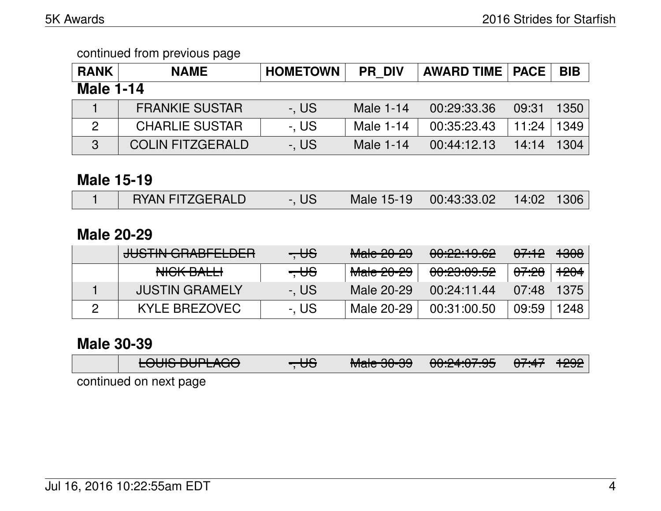| <b>RANK</b>      | <b>NAME</b>             | <b>HOMETOWN</b> | <b>PR DIV</b> | <b>AWARD TIME   PACE</b> |       | <b>BIB</b> |
|------------------|-------------------------|-----------------|---------------|--------------------------|-------|------------|
| <b>Male 1-14</b> |                         |                 |               |                          |       |            |
|                  | <b>FRANKIE SUSTAR</b>   | $-$ , US        | Male 1-14     | 00:29:33.36              | 09:31 | 1350       |
| 2                | <b>CHARLIE SUSTAR</b>   | -, US           | Male 1-14     | 00:35:23.43              | 11:24 | 1349       |
| 3                | <b>COLIN FITZGERALD</b> | -, US           | Male 1-14     | 00:44:12.13              | 14:14 | 1304       |

#### **Male 15-19**

|  | <b>RYAN FITZGERALD</b> | -, US |  | Male 15-19 00:43:33.02 14:02 1306 |  |  |
|--|------------------------|-------|--|-----------------------------------|--|--|
|--|------------------------|-------|--|-----------------------------------|--|--|

## **Male 20-29**

| <b>JUSTIN GRABFELDER</b> | $-$ US         | <del>Male 20-29</del> | 00:22:19.62            | <del>07:12</del> | <del>1308</del> |
|--------------------------|----------------|-----------------------|------------------------|------------------|-----------------|
| NICK BALLI               | $\overline{+}$ | <del>Male 20-29</del> | <del>00:23:09.52</del> | <del>07:28</del> | <del>1204</del> |
| <b>JUSTIN GRAMELY</b>    | -. US          | Male 20-29            | 00:24:11.44            | 07:48            | -1375           |
| KYLE BREZOVEC            | -. US          | Male 20-29            | 00:31:00.50            | 09:59            | 1248            |

# **Male 30-39**

|                                           | $\overline{1}$<br>LUUIJ DUI LAUU | $\overline{+}$ | $M = 0000$<br>ाणवा <del>ट</del> ਹ∪ <sup>-</sup> ਹਹੈ । | 0.0101.070E<br>ᠸᠧ <del>᠃ᠧ᠄ᢣ</del> ᠴ | <u>A7.47 LAOO</u><br>$\sqrt{1.47}$ $\sim$ | 1 TZJZ 1 |  |  |
|-------------------------------------------|----------------------------------|----------------|-------------------------------------------------------|-------------------------------------|-------------------------------------------|----------|--|--|
| المتمام ماليتم مراميم المتمنية بالمراقصين |                                  |                |                                                       |                                     |                                           |          |  |  |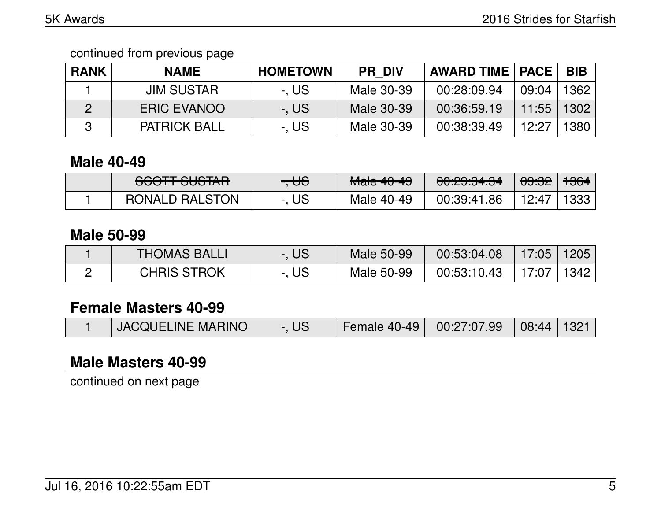| <b>RANK</b> | <b>NAME</b>         | <b>HOMETOWN</b> | <b>PR DIV</b> | <b>AWARD TIME   PACE  </b> |       | <b>BIB</b> |
|-------------|---------------------|-----------------|---------------|----------------------------|-------|------------|
|             | <b>JIM SUSTAR</b>   | -. US           | Male 30-39    | 00:28:09.94                | 09:04 | 1362       |
|             | <b>ERIC EVANOO</b>  | -. US           | Male 30-39    | 00:36:59.19                | 11:55 | 1302       |
|             | <b>PATRICK BALL</b> | -. US           | Male 30-39    | 00:38:39.49                | 12:27 | 1380       |

## **Male 40-49**

| COOTT OLICTAD<br><del>ovon ovom</del> | <del>. US</del> | $M0$ $\wedge$ $\wedge$ $\wedge$<br><del>Maic 40-47</del> | $\begin{array}{c} \n\mathbf{0} \mathbf{0} \mathbf{0} \mathbf{0} \mathbf{0} \mathbf{0} \mathbf{0} \mathbf{0} \mathbf{0} \mathbf{0} \mathbf{0} \n\end{array}$<br>ᠸ <del>ᡨ᠐᠐ᢃ</del> | <del>09:32</del> | +364 |
|---------------------------------------|-----------------|----------------------------------------------------------|----------------------------------------------------------------------------------------------------------------------------------------------------------------------------------|------------------|------|
| <b>RONALD RALSTON</b>                 | <b>US</b>       | Male 40-49                                               | 00:39:41.86                                                                                                                                                                      | 12:47            | 1333 |

## **Male 50-99**

| <b>THOMAS BALLI</b> | . US | Male 50-99 | 00:53:04.08 | 17:05 | 1205 |
|---------------------|------|------------|-------------|-------|------|
| <b>CHRIS STROK</b>  | US   | Male 50-99 | 00:53:10.43 | 17.07 | 1342 |

# **Female Masters 40-99**

|  | <b>JACQUELINE MARINO</b> | -. US |  | Female 40-49 $\mid$ 00:27:07.99 $\mid$ 08:44   1321 |  |  |
|--|--------------------------|-------|--|-----------------------------------------------------|--|--|
|--|--------------------------|-------|--|-----------------------------------------------------|--|--|

# **Male Masters 40-99**